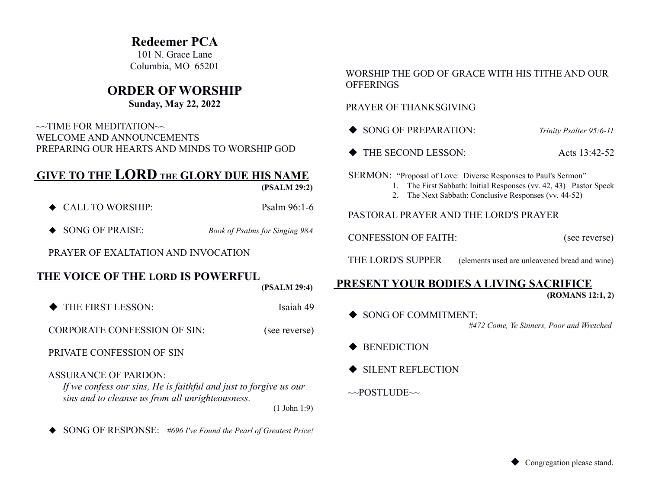# **Redeemer PCA**

101 N. Grace Lane Columbia, MO 65201

# **ORDER OF WORSHIP**

## **Sunday, May 22, 2022**

 $\sim$ TIME FOR MEDITATION $\sim$  WELCOME AND ANNOUNCEMENTS PREPARING OUR HEARTS AND MINDS TO WORSHIP GOD

# **GIVE TO THE LORD THE GLORY DUE HIS NAME**

 **(PSALM 29:2)**

- ◆ CALL TO WORSHIP: Psalm 96:1-6
- ◆ SONG OF PRAISE: *Book of Psalms for Singing 98A*

PRAYER OF EXALTATION AND INVOCATION

## **THE VOICE OF THE LORD IS POWERFUL**

 **(PSALM 29:4)**

THE FIRST LESSON: Isaiah 49

CORPORATE CONFESSION OF SIN: (see reverse)

PRIVATE CONFESSION OF SIN

ASSURANCE OF PARDON:

*If we confess our sins, He is faithful and just to forgive us our sins and to cleanse us from all unrighteousness.* (1 John 1:9)

SONG OF RESPONSE: *#696 I've Found the Pearl of Greatest Price!*

#### WORSHIP THE GOD OF GRACE WITH HIS TITHE AND OUR **OFFERINGS**

#### PRAYER OF THANKSGIVING

- ◆ SONG OF PREPARATION: *Trinity Psalter 95:6-11*
- ◆ THE SECOND LESSON: Acts 13:42-52

SERMON: "Proposal of Love: Diverse Responses to Paul's Sermon"

- 1. The First Sabbath: Initial Responses (vv. 42, 43) Pastor Speck
- 2. The Next Sabbath: Conclusive Responses (vv. 44-52)

#### PASTORAL PRAYER AND THE LORD'S PRAYER

CONFESSION OF FAITH: (see reverse)

THE LORD'S SUPPER (elements used are unleavened bread and wine)

#### **PRESENT YOUR BODIES A LIVING SACRIFICE (ROMANS 12:1, 2)**

- SONG OF COMMITMENT: *#472 Come, Ye Sinners, Poor and Wretched*
- **BENEDICTION**
- SILENT REFLECTION

 $\sim$ POSTLUDE $\sim$